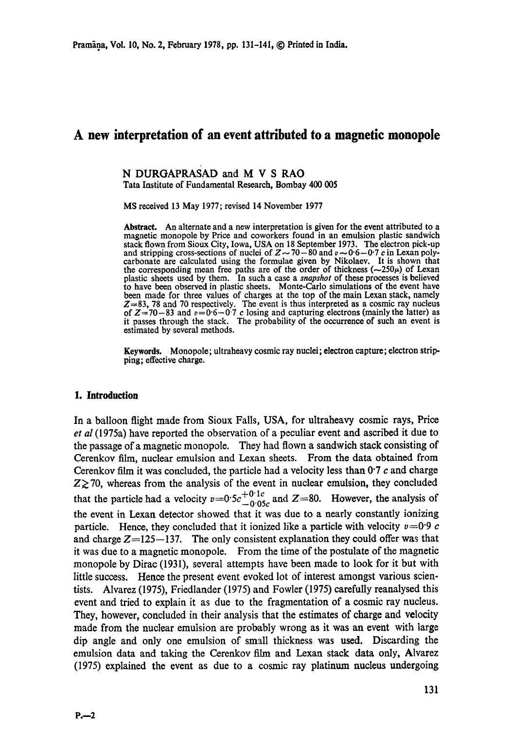# **A new interpretation of an event attributed to a magnetic monopole**

#### N DURGAPRASAD and M V S RAO Tata Institute of Fundamental Research, Bombay 400 005

MS received 13 May 1977; revised 14 November 1977

Abstract. An alternate and a new interpretation is given for the event attributed to a magnetic monopole by Price and coworkers found in an emulsion plastic sandwich stack flown from Sioux City, Iowa, USA on 18 September 1973. The electron pick-up and stripping cross-sections of nuclei of  $Z \sim 70-80$  and  $v \sim 0.6-0.7$  c in Lexan polycarbonate are calculated using the formulae given by Nikolaev. It is shown that the corresponding mean free paths are of the order of thickness  $(-250\mu)$  of Lexan plastic sheets used by them. In such a case a *snapshot* of these processes is believed to have been observed in plastic sheets. Monte-Carlo simulations of the event have been made for three values of charges at the top of the main Lexan stack, namely  $Z=83$ , 78 and 70 respectively. The event is thus interpreted as a cosmic ray nucleus of  $Z=70-83$  and  $v=0.6-0.7$  c losing and capturing electrons (mainly the latter) as it passes through the stack. The probability of the occurrence of such an event is estimated by several methods.

**Keywords.** Monopole; ultraheavy cosmic ray nuclei; electron capture; electron stripping; effective charge.

#### **1. Introduction**

In a balloon flight made from Sioux Falls, USA, for ultraheavy cosmic rays, Price *et al* (1975a) have reported the observation of a peculiar event and ascribed it due to the passage of a magnetic monopole. They had flown a sandwich stack consisting of Cerenkov film, nuclear emulsion and Lexan sheets. From the data obtained from Cerenkov film it was concluded, the particle had a velocity less than  $0.7 c$  and charge  $Z\geq$  70, whereas from the analysis of the event in nuclear emulsion, they concluded that the particle had a velocity  $v=0.5c_{-0.05c}^{+0.1c}$  and Z=80. However, the analysis of the event in Lexan detector showed that it was due to a nearly constantly ionizing particle. Hence, they concluded that it ionized like a particle with velocity  $v=0.9$  c and charge  $Z=125-137$ . The only consistent explanation they could offer was that it was due to a magnetic monopole. From the time of the postulate of the magnetic monopole by Dirac (1931), several attempts have been made to look for it but with little success. Hence the present event evoked lot of interest amongst various scientists. Alvarez (1975), Friedlander (1975) and Fowler (1975) carefully reanalysed this event and tried to explain it as due to the fragmentation of a cosmic ray nucleus. They, however, concluded in their analysis that the estimates of charge and velocity made from the nuclear emulsion are probably wrong as it was an event with large dip angle and only one emulsion of small thickness was used. Discarding the emulsion data and taking the Cerenkov film and Lexan stack data only, Alvarez (1975) explained the event as due to a cosmic ray platinum nucleus undergoing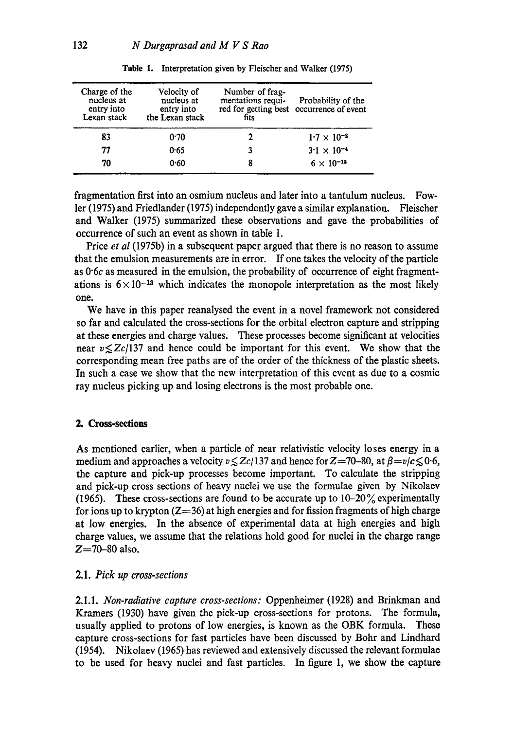| Charge of the<br>nucleus at<br>entry into<br>Lexan stack | Velocity of<br>nucleus at<br>entry into<br>the Lexan stack | Number of frag-<br>mentations requi-<br>fits | Probability of the<br>red for getting best occurrence of event |
|----------------------------------------------------------|------------------------------------------------------------|----------------------------------------------|----------------------------------------------------------------|
| 83                                                       | 0.70                                                       |                                              | $1.7 \times 10^{-2}$                                           |
| 77                                                       | 0.65                                                       |                                              | $3.1 \times 10^{-4}$                                           |
| 70                                                       | 0.60                                                       | 8                                            | $6 \times 10^{-12}$                                            |

Table 1. Interpretation given by Fleischer and Walker (1975)

fragmentation first into an osmium nucleus and later into a tantulum nucleus. Fowler (1975) and Friedlander (1975) independently gave a similar explanation. Fleischer and Walker (1975) summarized these observations and gave the probabilities of occurrence of such an event as shown in table 1.

Price *et al* (1975b) in a subsequent paper argued that there is no reason to assume that the emulsion measurements are in error. If one takes the velocity of the particle as 0"6c as measured in the emulsion, the probability of occurrence of eight fragmentations is  $6 \times 10^{-13}$  which indicates the monopole interpretation as the most likely one.

We have in this paper reanalysed the event in a novel framework not considered so far and calculated the cross-sections for the orbital electron capture and stripping at these energies and charge values. These processes become significant at velocities near  $v \leq Zc/137$  and hence could be important for this event. We show that the corresponding mean free paths are of the order of the thickness of the plastic sheets. In such a case we show that the new interpretation of this event as due to a cosmic ray nucleus picking up and losing electrons is the most probable one.

# **2. Cross-sections**

As mentioned earlier, when a particle of near relativistic velocity loses energy in a medium and approaches a velocity  $v \leq Z_c/137$  and hence for  $Z=70$ -80, at  $\beta=v/c \leq 0.6$ , the capture and pick-up processes become important. To calculate the stripping and pick-up cross sections of heavy nuclei we use the formulae given by Nikolaev (1965). These cross-sections are found to be accurate up to  $10-20\%$  experimentally for ions up to krypton  $(Z=36)$  at high energies and for fission fragments of high charge at low energies. In the absence of experimental data at high energies and high charge values, we assume that the relations hold good for nuclei in the charge range  $Z=70-80$  also.

## *2.1. Pick up cross-sections*

2.1.1. *Non-radiative capture cross-sections:* Oppenheimer (1928) and Brinkman and Kramers (1930) have given the pick-up cross-sections for protons. The formula, usually applied to protons of low energies, is known as the OBK formula. These capture cross-sections for fast particles have been discussed by Bohr and Lindhard (1954). Nikolaev (1965) has reviewed and extensively discussed the relevant formulae to be used for heavy nuclei and fast particles. In figure I, we show the capture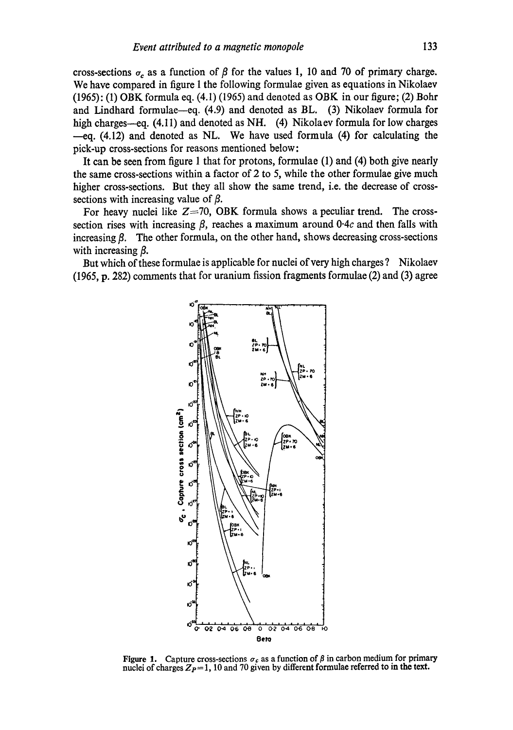cross-sections  $\sigma_c$  as a function of  $\beta$  for the values 1, 10 and 70 of primary charge. We have compared in figure 1 the following formulae given as equations in Nikolaev  $(1965)$ : (1) OBK formula eq.  $(4.1)$  (1965) and denoted as OBK in our figure; (2) Bohr and Lindhard formulae--eq. (4.9) and denoted as BL. (3) Nikolaev formula for high charges--eq.  $(4.11)$  and denoted as NH.  $(4)$  Nikolaev formula for low charges  $-eq$ , (4.12) and denoted as NL. We have used formula (4) for calculating the pick-up cross-sections for reasons mentioned below:

It can be seen from figure 1 that for protons, formulae (1) and (4) both give nearly the same cross-sections within a factor of 2 to 5, while the other formulae give much higher cross-sections. But they all show the same trend, i.e. the decrease of crosssections with increasing value of  $\beta$ .

For heavy nuclei like  $Z=70$ , OBK formula shows a peculiar trend. The crosssection rises with increasing  $\beta$ , reaches a maximum around 0.4c and then falls with increasing  $\beta$ . The other formula, on the other hand, shows decreasing cross-sections with increasing  $\beta$ .

But which of these formulae is applicable for nuclei of very high charges ? Nikolaev (1965, p. 282) comments that for uranium fission fragments formulae (2) and (3) agree



**Figure 1.** Capture cross-sections  $\sigma_c$  as a function of  $\beta$  in carbon medium for primary nuclei of charges  $Z_P = 1$ , 10 and 70 given by different formulae referred to in the text.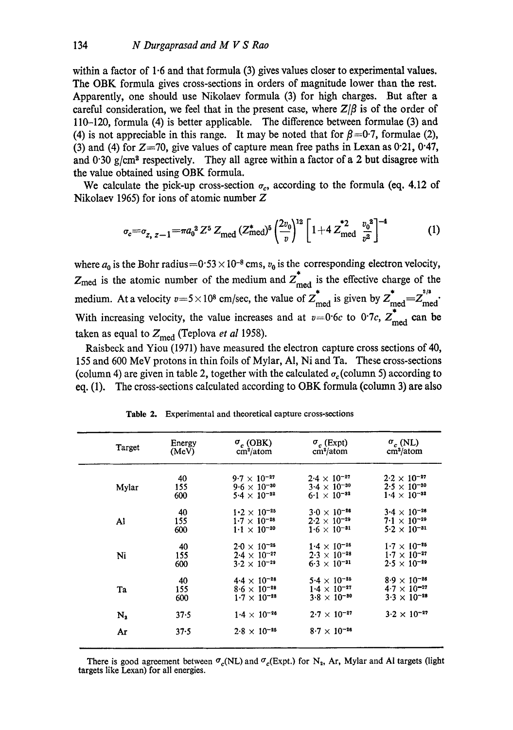within a factor of 1.6 and that formula (3) gives values closer to experimental values. The OBK formula gives cross-sections in orders of magnitude lower than the rest. Apparently, one should use Nikolaev formula (3) for high charges. But after a careful consideration, we feel that in the present case, where  $Z/B$  is of the order of 110-120, formula (4) is better applicable. The difference between formulae (3) and (4) is not appreciable in this range. It may be noted that for  $\beta$  =0.7, formulae (2), (3) and (4) for  $Z=70$ , give values of capture mean free paths in Lexan as 0.21, 0.47, and  $0.30 \text{ g/cm}^3$  respectively. They all agree within a factor of a 2 but disagree with the value obtained using OBK formula.

We calculate the pick-up cross-section  $\sigma_c$ , according to the formula (eq. 4.12 of Nikolaev 1965) for ions of atomic number Z

$$
\sigma_c = \sigma_{z, z-1} = \pi a_0^2 Z^5 Z_{\text{med}} (Z_{\text{med}}^*)^5 \left(\frac{2v_0}{v}\right)^{12} \left[1 + 4 Z_{\text{med}}^* \frac{v_0^2}{v^2}\right]^{-4} \tag{1}
$$

where  $a_0$  is the Bohr radius=0.53 × 10<sup>-8</sup> cms,  $v_0$  is the corresponding electron velocity,  $Z_{\text{med}}$  is the atomic number of the medium and  $Z_{\text{med}}^*$  is the effective charge of the medium. At a velocity  $v=5 \times 10^8$  cm/sec, the value of  $Z_{\text{med}}^*$  is given by  $Z_{\text{med}}^* = Z_{\text{med}}^{2/8}$ . With increasing velocity, the value increases and at  $v=0$  6c to 0.7c,  $Z_{\text{med}}^{\dagger}$  can be taken as equal to  $Z_{\text{med}}$  (Teplova *et al* 1958).

Raisbeck and Yiou (1971) have measured the electron capture cross sections of 40, I55 and 600 MeV protons in thin foils of Mylar, A1, Ni and Ta. These cross-sections (column 4) are given in table 2, together with the calculated  $\sigma_c$  (column 5) according to eq. (1). The cross-sections calculated according to OBK formula (column 3) are also

| Target | Energy | $\sigma_c$ (OBK)      | $\sigma_c$ (Expt)         | $\sigma_c$ (NL)       |
|--------|--------|-----------------------|---------------------------|-----------------------|
|        | (MeV)  | cm <sup>2</sup> /atom | $\text{cm}^2/\text{atom}$ | cm <sup>2</sup> /atom |
| Mylar  | 40     | $9.7 \times 10^{-27}$ | $2.4 \times 10^{-27}$     | $2.2 \times 10^{-27}$ |
|        | 155    | $9.6 \times 10^{-30}$ | $3.4 \times 10^{-30}$     | $2.5 \times 10^{-30}$ |
|        | 600    | $5.4 \times 10^{-32}$ | $6.1 \times 10^{-32}$     | $1.4 \times 10^{-32}$ |
| Al     | 40     | $1.2 \times 10^{-25}$ | $3.0 \times 10^{-26}$     | $3.4 \times 10^{-26}$ |
|        | 155    | $1.7 \times 10^{-28}$ | $2.2 \times 10^{-29}$     | $7.1 \times 10^{-29}$ |
|        | 600    | $1.1 \times 10^{-30}$ | $1.6 \times 10^{-31}$     | $5.2 \times 10^{-31}$ |
| Ni     | 40     | $2.0 \times 10^{-25}$ | $1.4 \times 10^{-25}$     | $1.7 \times 10^{-25}$ |
|        | 155    | $2.4 \times 10^{-27}$ | $2.3 \times 10^{-28}$     | $1.7 \times 10^{-27}$ |
|        | 600    | $3.2 \times 10^{-29}$ | $6.3 \times 10^{-31}$     | $2.5 \times 10^{-29}$ |
| Ta     | 40     | $4.4 \times 10^{-28}$ | $5.4 \times 10^{-25}$     | $8.9 \times 10^{-26}$ |
|        | 155    | $8.6 \times 10^{-28}$ | $1.4 \times 10^{-27}$     | $4.7 \times 10^{-27}$ |
|        | 600    | $1.7 \times 10^{-28}$ | $3.8 \times 10^{-30}$     | $3.3 \times 10^{-28}$ |
| N,     | 37.5   | $1.4 \times 10^{-26}$ | $2.7 \times 10^{-27}$     | $3.2 \times 10^{-27}$ |
| Ar     | 37.5   | $2.8 \times 10^{-25}$ | $8.7 \times 10^{-26}$     |                       |

Table 2. Experimental and theoretical capture cross-sections

There is good agreement between  $\sigma_c(NL)$  and  $\sigma_c(Expt.)$  for N<sub>2</sub>, Ar, Mylar and Al targets (light targets like Lexan) for all energies.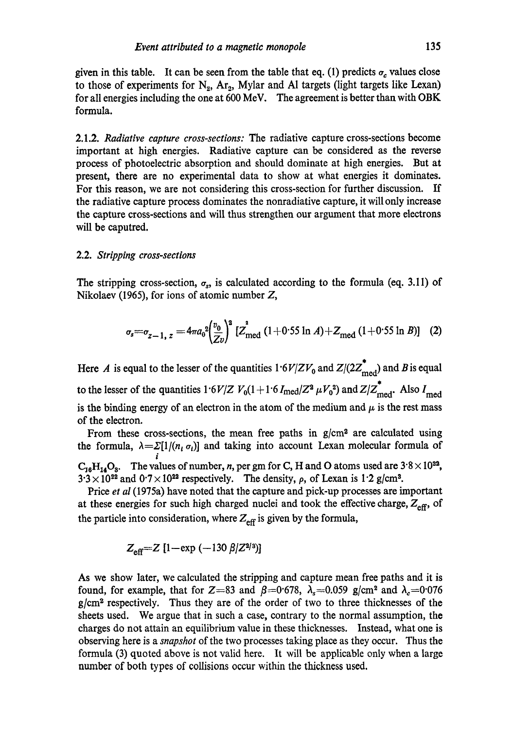given in this table. It can be seen from the table that eq. (1) predicts  $\sigma_c$  values close to those of experiments for  $N_2$ ,  $Ar_2$ , Mylar and Al targets (light targets like Lexan) for all energies including the one at 600 MeV. The agreement is better than with OBK formula.

2.1.2. *Radiative capture cross-sections:* The radiative capture cross-sections become important at high energies. Radiative capture can be considered as the reverse process of photoelectric absorption and should dominate at high energies. But at present, there are no experimental data to show at what energies it dominates. For this reason, we are not considering this cross-section for further discussion. If the radiative capture process dominates the nonradiative capture, it will only increase the capture cross-sections and will thus strengthen our argument that more electrons will be caputred.

#### 2.2. *Stripping cross-sections*

The stripping cross-section,  $\sigma_s$ , is calculated according to the formula (eq. 3.11) of Nikolaev (1965), for ions of atomic number Z,

$$
\sigma_s = \sigma_{z-1, z} = 4\pi a_0^2 \left(\frac{v_0}{Z_v}\right)^2 \left[Z_{\text{med}}^2 \left(1 + 0.55 \ln A\right) + Z_{\text{med}} \left(1 + 0.55 \ln B\right)\right] \tag{2}
$$

Here A is equal to the lesser of the quantities  $1.6V/ZV_0$  and  $Z/(2Z_{\text{med}}^*)$  and B is equal to the lesser of the quantities  $1.6V/Z V_0(1+1.6I_{\text{med}}/Z^2 \mu V_0^2)$  and  $Z/Z_{\text{med}}^*$ . Also  $I_{\text{med}}$ is the binding energy of an electron in the atom of the medium and  $\mu$  is the rest mass of the electron.

From these cross-sections, the mean free paths in g/cm<sup>2</sup> are calculated using the formula,  $\lambda = \sum [1/(n_i \sigma_i)]$  and taking into account Lexan molecular formula of i  $C_{16}H_{14}O_3$ . The values of number, n, per gm for C, H and O atoms used are  $3.8 \times 10^{22}$ ,  $3.3 \times 10^{22}$  and  $0.7 \times 10^{22}$  respectively. The density,  $\rho$ , of Lexan is 1.2 g/cm<sup>3</sup>.

Price *et al* (1975a) have noted that the capture and pick-up processes are important at these energies for such high charged nuclei and took the effective charge,  $Z_{\text{eff}}$ , of the particle into consideration, where  $Z_{\text{eff}}$  is given by the formula,

$$
Z_{\text{eff}} = Z \left[ 1 - \exp \left( -130 \beta / Z^{2/3} \right) \right]
$$

As we show later, we calculated the stripping and capture mean free paths and it is found, for example, that for Z=83 and  $\beta$ =0.678,  $\lambda$ <sub>s</sub>=0.059 g/cm<sup>2</sup> and  $\lambda$ <sub>c</sub>=0.076 g/cm<sup>2</sup> respectively. Thus they are of the order of two to three thicknesses of the sheets used. We argue that in such a case, contrary to the normal assumption, the charges do not attain an equilibrium value in these thicknesses. Instead, what one is observing here is a *snapshot* of the two processes taking place as they occur. Thus the formula (3) quoted above is not valid here. It will be applicable only when a large number of both types of collisions occur within the thickness used.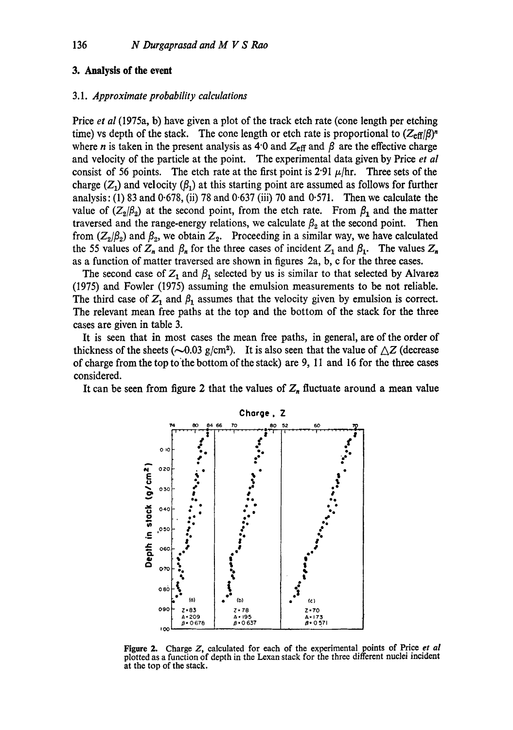## **3. Analysis of the event**

## **3.1.** *Approximate probability calculations*

**Price** *et al* **(1975a, b) have given a plot of the track etch rate (cone length per etching**  time) vs depth of the stack. The cone length or etch rate is proportional to  $(Z_{\text{eff}}/\beta)^n$ where *n* is taken in the present analysis as 4.0 and  $Z_{\text{eff}}$  and  $\beta$  are the effective charge **and velocity of the particle at the point. The experimental data given by Price** *et al*  consist of 56 points. The etch rate at the first point is  $2.91 \mu/hr$ . Three sets of the charge  $(Z_1)$  and velocity  $(\beta_1)$  at this starting point are assumed as follows for further **analysis: (1) 83 and 0.678, (ii) 78 and 0.637 (iii) 70 and 0.571. Then we calculate the**  value of  $(Z_2/\beta_2)$  at the second point, from the etch rate. From  $\beta_1$  and the matter traversed and the range-energy relations, we calculate  $\beta_2$  at the second point. Then from  $(Z_2/\beta_2)$  and  $\beta_2$ , we obtain  $Z_2$ . Proceeding in a similar way, we have calculated the 55 values of  $Z_n$  and  $\beta_n$  for the three cases of incident  $Z_1$  and  $\beta_1$ . The values  $Z_n$ **as a function of matter traversed are shown in figures 2a, b, c for the three cases.** 

The second case of  $Z_1$  and  $\beta_1$  selected by us is similar to that selected by Alvarez **(1975) and Fowler (1975) assuming the emulsion measurements to be not reliable.**  The third case of  $Z_1$  and  $\beta_1$  assumes that the velocity given by emulsion is correct. **The relevant mean free paths at the top and the bottom of the stack for the three cases are given in table 3.** 

**It is seen that in most cases the mean free paths, in general, are of the order of**  thickness of the sheets ( $\sim$ 0.03 g/cm<sup>2</sup>). It is also seen that the value of  $\triangle Z$  (decrease of charge from the top to the bottom of the stack) are 9, 11 and 16 for the three cases **considered.** 

It can be seen from figure 2 that the values of  $Z_n$  fluctuate around a mean value



**Figure 2. Charge Z, calculated for each of the experimental points of Price** *et al*  **plotted as a function of depth in the Lexan stack for the three different nuclei incident at the top of the stack.**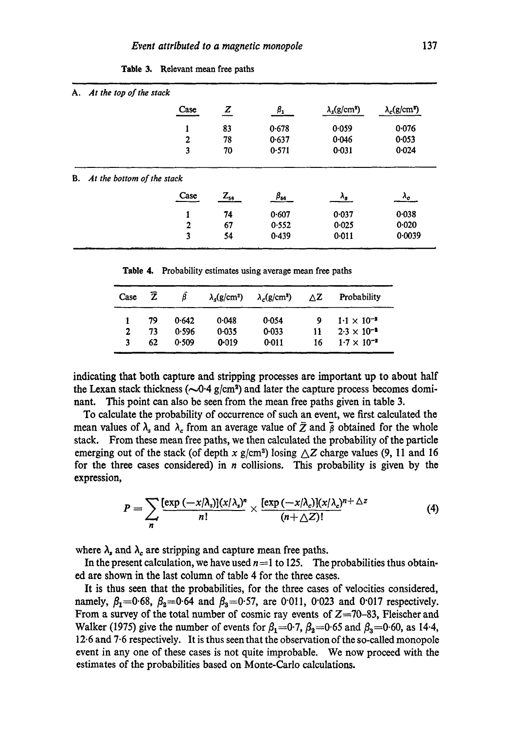| А. | At the top of the stack    |                |                |              |                                  |                                  |
|----|----------------------------|----------------|----------------|--------------|----------------------------------|----------------------------------|
|    |                            | Case           | $\overline{z}$ | $\beta_1$    | $\lambda_s$ (g/cm <sup>2</sup> ) | $\lambda_c$ (g/cm <sup>2</sup> ) |
|    |                            | 1              | 83             | 0.678        | 0.059                            | 0.076                            |
|    |                            | $\overline{2}$ | 78             | 0.637        | 0.046                            | 0.053                            |
|    |                            | 3              | 70             | 0.571        | 0.031                            | 0.024                            |
| В. | At the bottom of the stack |                |                |              |                                  |                                  |
|    |                            | Case           | $Z_{56}$       | $\beta_{ss}$ | $\lambda_{s}$                    | Λ.                               |
|    |                            | 1              | 74             | 0.607        | 0.037                            | 0.038                            |
|    |                            |                |                |              | 0.025                            | 0.020                            |
|    |                            | $\overline{2}$ | 67             | 0.552        |                                  |                                  |

Table 3. Relevant mean free paths

**Table** 4. Probability estimates using average mean free paths

| Case | Ź  |       | $\lambda_{\rm c}(g/cm^2)$ | $\lambda_c$ (g/cm <sup>2</sup> ) | ۸Z | Probability          |
|------|----|-------|---------------------------|----------------------------------|----|----------------------|
|      | 79 | 0.642 | 0.048                     | 0.054                            |    | $1.1 \times 10^{-2}$ |
| 2    | 73 | 0.596 | 0.035                     | 0.033                            | 11 | $2.3 \times 10^{-2}$ |
| 3    | 62 | 0.509 | 0.019                     | 0:011                            | 16 | $1.7 \times 10^{-3}$ |

indicating that both capture and stripping processes are important up to about half the Lexan stack thickness ( $\sim 0.4$  g/cm<sup>2</sup>) and later the capture process becomes dominant. This point can also be seen from the mean free paths given in table 3.

To calculate the probability of occurrence of such an event, we first calculated the mean values of  $\lambda_s$  and  $\lambda_c$  from an average value of  $\bar{Z}$  and  $\bar{\beta}$  obtained for the whole stack. From these mean free paths, we then calculated the probability of the particle emerging out of the stack (of depth x  $g/cm^2$ ) losing  $\Delta Z$  charge values (9, 11 and 16 for the three cases considered) in  $n$  collisions. This probability is given by the expression,

$$
P = \sum_{n} \frac{[\exp(-x/\lambda_{s})](x/\lambda_{s})^{n}}{n!} \times \frac{[\exp(-x/\lambda_{c})](x/\lambda_{c})^{n+\Delta z}}{(n+\Delta Z)!}
$$
(4)

where  $\lambda_s$  and  $\lambda_c$  are stripping and capture mean free paths.

In the present calculation, we have used  $n=1$  to 125. The probabilities thus obtained are shown in the last column of table 4 for the three cases.

It is thus seen that the probabilities, for the three cases of velocities considered, namely,  $\beta_1 = 0.68$ ,  $\beta_2 = 0.64$  and  $\beta_3 = 0.57$ , are 0.011, 0.023 and 0.017 respectively. From a survey of the total number of cosmic ray events of Z=70-83, Fleischer and Walker (1975) give the number of events for  $\beta_1=0.7$ ,  $\beta_2=0.65$  and  $\beta_3=0.60$ , as 14.4, 12.6 and 7.6 respectively. It is thus seen that the observation of the so-called monopole event in any one of these cases is not quite improbable. We now proceed with the estimates of the probabilities based on Monte-Carlo calculations.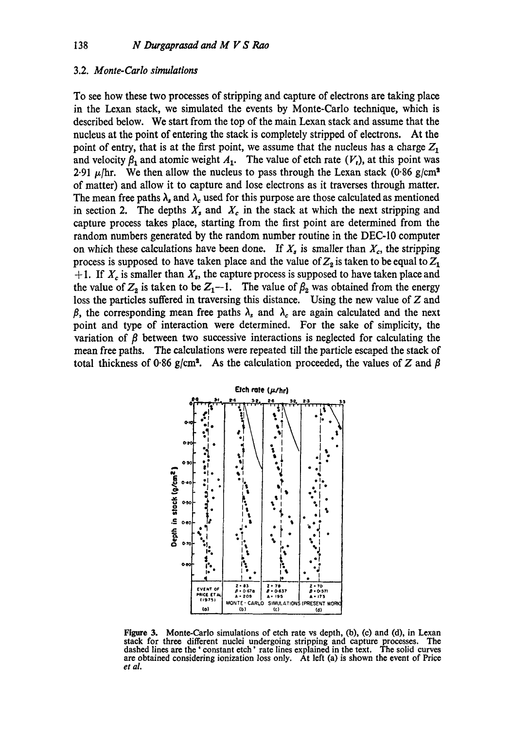#### **3.2.** *Monte-Carlo simulations*

**To see how these two processes of stripping and capture of electrons are taking place in the Lexan stack, we simulated the events by Monte-Carlo technique, which is described below. We start from the top of the main Lexan stack and assume that the nucleus at the point of entering the stack is completely stripped of electrons. At the**  point of entry, that is at the first point, we assume that the nucleus has a charge  $Z_1$ and velocity  $\beta_1$  and atomic weight  $A_1$ . The value of etch rate  $(V_t)$ , at this point was 2.91  $\mu$ /hr. We then allow the nucleus to pass through the Lexan stack (0.86 g/cm<sup>2</sup>) **of matter) and allow it to capture and lose electrons as it traverses through matter.**  The mean free paths  $\lambda_s$  and  $\lambda_c$  used for this purpose are those calculated as mentioned in section 2. The depths  $X_s$  and  $X_c$  in the stack at which the next stripping and **capture process takes place, starting from the first point are determined from the random numbers generated by the random number routine in the DEC-10 computer**  on which these calculations have been done. If  $X_s$  is smaller than  $X_c$ , the stripping process is supposed to have taken place and the value of  $Z_2$  is taken to be equal to  $Z_1$  $+1$ . If  $X_c$  is smaller than  $X_s$ , the capture process is supposed to have taken place and the value of  $Z_2$  is taken to be  $Z_1-1$ . The value of  $\beta_2$  was obtained from the energy **loss the particles suffered in traversing this distance. Using the new value of Z and**   $\beta$ , the corresponding mean free paths  $\lambda_s$  and  $\lambda_c$  are again calculated and the next **point and type of interaction were determined. For the sake of simplicity, the variation of**  $\beta$  **between two successive interactions is neglected for calculating the mean free paths. The calculations were repeated fill the particle escaped the stack of**  total thickness of 0.86 g/cm<sup>2</sup>. As the calculation proceeded, the values of Z and  $\beta$ 



**Figure 3. Monte-Carlo simulations of etch rate vs depth, (b), (e) and (d), in Lexan stack for three different nuclei undergoing stripping and capture processes. The dashed lines are the ' constant etch' rate lines explained in the text. The solid curves are obtained considering ionization loss only. At left (a) is shown the event of Price**  *et al.*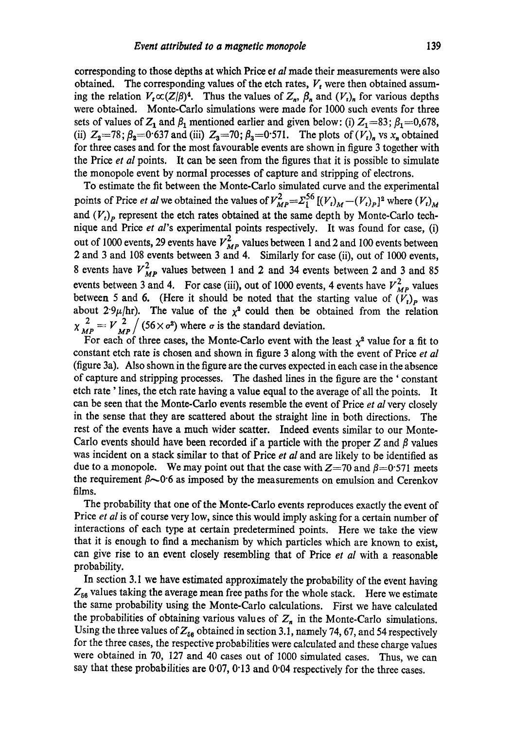corresponding to those depths at which Price *et al* made their measurements were also obtained. The corresponding values of the etch rates,  $V_t$  were then obtained assuming the relation  $V_t \propto (Z/\beta)^4$ . Thus the values of  $Z_n$ ,  $\beta_n$  and  $(V_t)_n$  for various depths were obtained. Monte-Carlo simulations were made for 1000 such events for three sets of values of  $Z_1$  and  $\beta_1$  mentioned earlier and given below: (i)  $Z_1=83$ ;  $\beta_1=0,678$ , (ii)  $Z_2 = 78$ ;  $\beta_2 = 0.637$  and (iii)  $Z_3 = 70$ ;  $\beta_3 = 0.571$ . The plots of  $(V_t)_n$  vs  $x_n$  obtained for three cases and for the most favourable events are shown in figure 3 together with the Price *et al* points. It can be seen from the figures that it is possible to simulate the monopole event by normal processes of capture and stripping of electrons.

**To** estimate the fit between the Monte-Carlo simulated curve and the experimental points of Price *et al* we obtained the values of  $V_{MP}^2 = \sum_{i=1}^{56} [(V_t)_M - (V_t)_P]^2$  where  $(V_t)_M$ and  $(V<sub>t</sub>)<sub>p</sub>$  represent the etch rates obtained at the same depth by Monte-Carlo technique and Price *et al's* experimental points respectively. It was found for case, (i) out of 1000 events, 29 events have  $V_{MP}^2$  values between 1 and 2 and 100 events between 2 and 3 and 108 events between 3 and 4. Similarly for case (ii), out of 1000 events, 8 events have  $V_{MP}^2$  values between 1 and 2 and 34 events between 2 and 3 and 85 events between 3 and 4. For case (iii), out of 1000 events, 4 events have  $V_{MP}^2$  values between 5 and 6. (Here it should be noted that the starting value of  $(V_t)_p$  was about 2.9 $\mu$ /hr). The value of the  $x^2$  could then be obtained from the relation  $\chi^{2}_{MP} = V^{2}_{MP} / (56 \times \sigma^2)$  where  $\sigma$  is the standard deviation.

For each of three cases, the Monte-Carlo event with the least  $\chi^2$  value for a fit to constant etch rate is chosen and shown in figure 3 along with the event of Price *et al*  (figure 3a). Also shown in the figure are the curves expected in each case in the absence of capture and stripping processes. The dashed lines in the figure are the ' constant etch rate' lines, the etch rate having a value equal to the average of all the points. It can be seen that the Monte-Carlo events resemble the event of Price *et al* very closely in the sense that they are scattered about the straight line in both directions. The rest of the events have a much wider scatter. Indeed events similar to our Monte-Carlo events should have been recorded if a particle with the proper Z and  $\beta$  values was incident on a stack similar to that of Price *et al* and are likely to be identified as due to a monopole. We may point out that the case with  $Z=70$  and  $\beta=0.571$  meets the requirement  $\beta$  -0.6 as imposed by the measurements on emulsion and Cerenkov films.

The probability that one of the Monte-Carlo events reproduces exactly the event of Price *et al* is of course very low, since this would imply asking for a certain number of interactions of each type at certain predetermined points. Here we take the view that it is enough to find a mechanism by which particles which are known to exist, can give rise to an event closely resembling that of Price *et al* with a reasonable probability.

In section 3.1 we have estimated approximately the probability of the event having  $Z_{56}$  values taking the average mean free paths for the whole stack. Here we estimate the same probability using the Monte-Carlo calculations. First we have calculated the probabilities of obtaining various values of  $Z_n$  in the Monte-Carlo simulations. Using the three values of  $Z_{56}$  obtained in section 3.1, namely 74, 67, and 54 respectively for the three cases, the respective probabilities were calculated and these charge values were obtained in 70, 127 and 40 cases out of 1000 simulated cases. Thus, we can say that these probabilities are 0.07, 0.13 and 0.04 respectively for the three cases.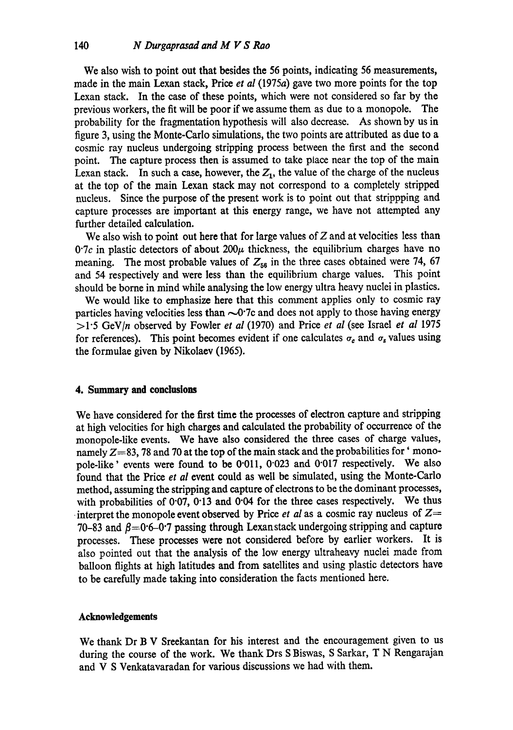We also wish to point out that besides the 56 points, indicating 56 measurements, made in the main Lexan stack, Price *et al* (1975a) gave two more points for the top Lexan stack. In the case of these points, which were not considered so far by the previous workers, the fit will be poor if we assume them as due to a monopole. The probability for the fragmentation hypothesis will also decrease. As shown by us in figure 3, using the Monte-Carlo simulations, the two points are attributed as due to a cosmic ray nucleus undergoing stripping process between the first and the second point. The capture process then is assumed to take place near the top of the main Lexan stack. In such a case, however, the  $Z_1$ , the value of the charge of the nucleus at the top of the main Lexan stack may not correspond to a completely stripped nucleus. Since the purpose of the present work is to point out that strippping and capture processes are important at this energy range, we have not attempted any further detailed calculation.

We also wish to point out here that for large values of  $Z$  and at velocities less than  $0.7c$  in plastic detectors of about  $200\mu$  thickness, the equilibrium charges have no meaning. The most probable values of  $Z_{56}$  in the three cases obtained were 74, 67 and 54 respectively and were less than the equilibrium charge values. This point should be borne in mind while analysing the low energy ultra heavy nuclei in plastics.

We would like to emphasize here that this comment applies only to cosmic ray particles having velocities less than  $\sim 0$ . To and does not apply to those having energy >1"5 GeV/n observed by Fowler *et al* (1970) and Price *et al* (see Israel *et al* 1975 for references). This point becomes evident if one calculates  $\sigma_c$  and  $\sigma_s$  values using the formulae given by Nikolaev (1965).

#### **4. Summary and conclusions**

We have considered for the first time the processes of electron capture and stripping at high velocities for high charges and calculated the probability of occurrence of the monopole-like events. We have also considered the three cases of charge values, namely  $Z=83$ , 78 and 70 at the top of the main stack and the probabilities for 'monopole-like' events were found to be 0"011, 0"023 and 0"017 respectively. We also found that the Price *et al* event could as well be simulated, using the Monte-Carlo method, assuming the stripping and capture of electrons to be the dominant processes, with probabilities of 0.07, 0.13 and 0.04 for the three cases respectively. We thus interpret the monopole event observed by Price *et al* as a cosmic ray nucleus of  $Z=$ 70-83 and  $\beta$ =0.6-0.7 passing through Lexanstack undergoing stripping and capture processes. These processes were not considered before by earlier workers. It is also pointed out that the analysis of the low energy ultraheavy nuclei made from balloon flights at high latitudes and from satellites and using plastic detectors have to be carefully made taking into consideration the facts mentioned here.

#### **Acknowledgements**

We thank Dr B V Sreekantan for his interest and the encouragement given to us during the course of the work. We thank Drs S Biswas, S Sarkar, T N Rengarajan and V S Venkatavaradan for various discussions we had with them.